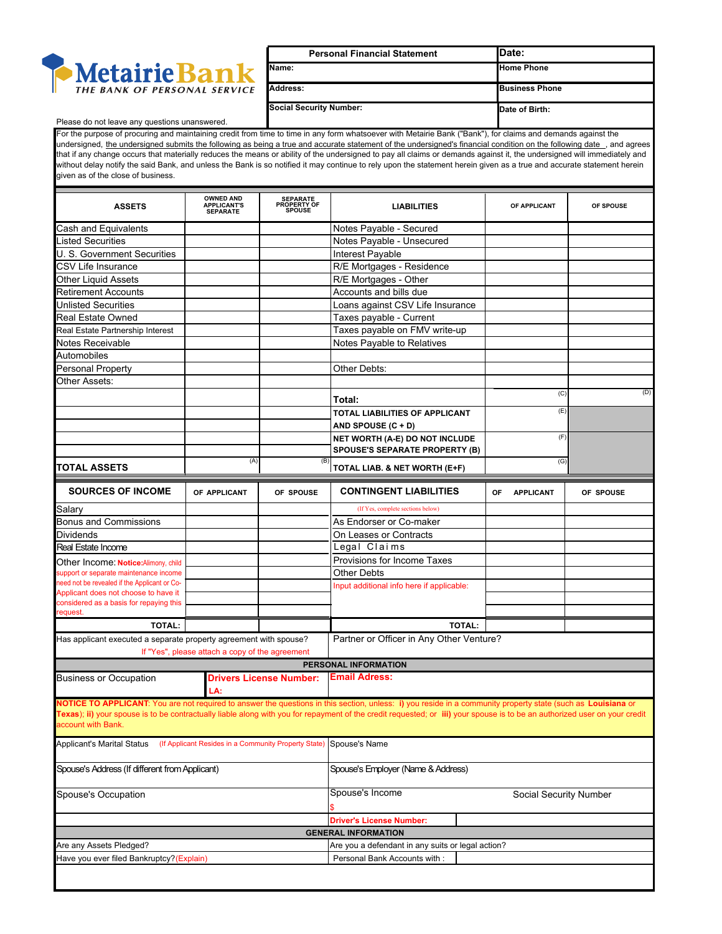

| <b>Personal Financial Statement</b> | <b>IDate:</b>         |
|-------------------------------------|-----------------------|
| Name:                               | <b>Home Phone</b>     |
| <b>Address:</b>                     | <b>Business Phone</b> |
| <b>Social Security Number:</b>      | Date of Birth:        |

## Please do not leave any questions unanswered.

For the purpose of procuring and maintaining credit from time to time in any form whatsoever with Metairie Bank ("Bank"), for claims and demands against the undersigned, the undersigned submits the following as being a true and accurate statement of the undersigned's financial condition on the following date , and agrees that if any change occurs that materially reduces the means or ability of the undersigned to pay all claims or demands against it, the undersigned will immediately and without delay notify the said Bank, and unless the Bank is so notified it may continue to rely upon the statement herein given as a true and accurate statement herein given as of the close of business.

| <b>ASSETS</b>                                                     | <b>OWNED AND</b><br><b>APPLICANT'S</b><br><b>SEPARATE</b>                | <b>SEPARATE</b><br>PROPERTY OF | <b>LIABILITIES</b>                                                                                                                                                                                                                                                                                                                         | OF APPLICANT           | OF SPOUSE |  |  |
|-------------------------------------------------------------------|--------------------------------------------------------------------------|--------------------------------|--------------------------------------------------------------------------------------------------------------------------------------------------------------------------------------------------------------------------------------------------------------------------------------------------------------------------------------------|------------------------|-----------|--|--|
| Cash and Equivalents                                              |                                                                          |                                | Notes Payable - Secured                                                                                                                                                                                                                                                                                                                    |                        |           |  |  |
| <b>Listed Securities</b>                                          |                                                                          |                                | Notes Payable - Unsecured                                                                                                                                                                                                                                                                                                                  |                        |           |  |  |
| U. S. Government Securities                                       |                                                                          |                                | Interest Payable                                                                                                                                                                                                                                                                                                                           |                        |           |  |  |
| CSV Life Insurance                                                |                                                                          |                                | R/E Mortgages - Residence                                                                                                                                                                                                                                                                                                                  |                        |           |  |  |
| <b>Other Liquid Assets</b>                                        |                                                                          |                                | R/E Mortgages - Other                                                                                                                                                                                                                                                                                                                      |                        |           |  |  |
| <b>Retirement Accounts</b>                                        |                                                                          |                                | Accounts and bills due                                                                                                                                                                                                                                                                                                                     |                        |           |  |  |
| <b>Unlisted Securities</b>                                        |                                                                          |                                | Loans against CSV Life Insurance                                                                                                                                                                                                                                                                                                           |                        |           |  |  |
| <b>Real Estate Owned</b>                                          |                                                                          |                                | Taxes payable - Current                                                                                                                                                                                                                                                                                                                    |                        |           |  |  |
| Real Estate Partnership Interest                                  |                                                                          |                                | Taxes payable on FMV write-up                                                                                                                                                                                                                                                                                                              |                        |           |  |  |
| Notes Receivable                                                  |                                                                          |                                | Notes Payable to Relatives                                                                                                                                                                                                                                                                                                                 |                        |           |  |  |
| Automobiles                                                       |                                                                          |                                |                                                                                                                                                                                                                                                                                                                                            |                        |           |  |  |
| <b>Personal Property</b>                                          |                                                                          |                                | Other Debts:                                                                                                                                                                                                                                                                                                                               |                        |           |  |  |
| Other Assets:                                                     |                                                                          |                                |                                                                                                                                                                                                                                                                                                                                            |                        |           |  |  |
|                                                                   |                                                                          |                                |                                                                                                                                                                                                                                                                                                                                            | (C)                    | (D)       |  |  |
|                                                                   |                                                                          |                                | Total:                                                                                                                                                                                                                                                                                                                                     |                        |           |  |  |
|                                                                   |                                                                          |                                | TOTAL LIABILITIES OF APPLICANT                                                                                                                                                                                                                                                                                                             | (E)                    |           |  |  |
|                                                                   |                                                                          |                                | AND SPOUSE $(C + D)$                                                                                                                                                                                                                                                                                                                       |                        |           |  |  |
|                                                                   |                                                                          |                                | NET WORTH (A-E) DO NOT INCLUDE                                                                                                                                                                                                                                                                                                             | (F)                    |           |  |  |
|                                                                   |                                                                          |                                | <b>SPOUSE'S SEPARATE PROPERTY (B)</b>                                                                                                                                                                                                                                                                                                      |                        |           |  |  |
| <b>TOTAL ASSETS</b>                                               | (A)                                                                      | (B)                            | TOTAL LIAB. & NET WORTH (E+F)                                                                                                                                                                                                                                                                                                              | (G)                    |           |  |  |
| <b>SOURCES OF INCOME</b>                                          | OF APPLICANT                                                             | OF SPOUSE                      | <b>CONTINGENT LIABILITIES</b>                                                                                                                                                                                                                                                                                                              | OF<br><b>APPLICANT</b> | OF SPOUSE |  |  |
| Salary                                                            |                                                                          |                                | (If Yes, complete sections below)                                                                                                                                                                                                                                                                                                          |                        |           |  |  |
| <b>Bonus and Commissions</b>                                      |                                                                          |                                | As Endorser or Co-maker                                                                                                                                                                                                                                                                                                                    |                        |           |  |  |
| <b>Dividends</b>                                                  |                                                                          |                                | On Leases or Contracts                                                                                                                                                                                                                                                                                                                     |                        |           |  |  |
| Real Estate Income                                                |                                                                          |                                | Legal Claims                                                                                                                                                                                                                                                                                                                               |                        |           |  |  |
| Other Income: Notice: Alimony, child                              |                                                                          |                                | Provisions for Income Taxes                                                                                                                                                                                                                                                                                                                |                        |           |  |  |
| support or separate maintenance income                            |                                                                          |                                | Other Debts                                                                                                                                                                                                                                                                                                                                |                        |           |  |  |
| need not be revealed if the Applicant or Co-                      |                                                                          |                                | Input additional info here if applicable:                                                                                                                                                                                                                                                                                                  |                        |           |  |  |
| Applicant does not choose to have it                              |                                                                          |                                |                                                                                                                                                                                                                                                                                                                                            |                        |           |  |  |
| considered as a basis for repaying this<br>request.               |                                                                          |                                |                                                                                                                                                                                                                                                                                                                                            |                        |           |  |  |
| TOTAL:                                                            |                                                                          |                                | <b>TOTAL:</b>                                                                                                                                                                                                                                                                                                                              |                        |           |  |  |
| Has applicant executed a separate property agreement with spouse? |                                                                          |                                | Partner or Officer in Any Other Venture?                                                                                                                                                                                                                                                                                                   |                        |           |  |  |
|                                                                   | If "Yes", please attach a copy of the agreement                          |                                |                                                                                                                                                                                                                                                                                                                                            |                        |           |  |  |
|                                                                   |                                                                          |                                | PERSONAL INFORMATION                                                                                                                                                                                                                                                                                                                       |                        |           |  |  |
| <b>Business or Occupation</b>                                     | LA:                                                                      | <b>Drivers License Number:</b> | <b>Email Adress:</b>                                                                                                                                                                                                                                                                                                                       |                        |           |  |  |
|                                                                   |                                                                          |                                | NOTICE TO APPLICANT: You are not required to answer the questions in this section, unless: i) you reside in a community property state (such as Louisiana or<br>Texas); ii) your spouse is to be contractually liable along with you for repayment of the credit requested; or iii) your spouse is to be an authorized user on your credit |                        |           |  |  |
| account with Bank.                                                |                                                                          |                                |                                                                                                                                                                                                                                                                                                                                            |                        |           |  |  |
| <b>Applicant's Marital Status</b>                                 | (If Applicant Resides in a Community Property State)                     |                                | Spouse's Name                                                                                                                                                                                                                                                                                                                              |                        |           |  |  |
| Spouse's Address (If different from Applicant)                    |                                                                          |                                | Spouse's Employer (Name & Address)                                                                                                                                                                                                                                                                                                         |                        |           |  |  |
| Spouse's Occupation                                               |                                                                          |                                | Spouse's Income<br>Social Security Number                                                                                                                                                                                                                                                                                                  |                        |           |  |  |
|                                                                   |                                                                          |                                | <b>Driver's License Number:</b>                                                                                                                                                                                                                                                                                                            |                        |           |  |  |
|                                                                   |                                                                          |                                | <b>GENERAL INFORMATION</b>                                                                                                                                                                                                                                                                                                                 |                        |           |  |  |
| Are any Assets Pledged?                                           |                                                                          |                                | Are you a defendant in any suits or legal action?                                                                                                                                                                                                                                                                                          |                        |           |  |  |
|                                                                   | Have you ever filed Bankruptcy?(Explain)<br>Personal Bank Accounts with: |                                |                                                                                                                                                                                                                                                                                                                                            |                        |           |  |  |
|                                                                   |                                                                          |                                |                                                                                                                                                                                                                                                                                                                                            |                        |           |  |  |
|                                                                   |                                                                          |                                |                                                                                                                                                                                                                                                                                                                                            |                        |           |  |  |